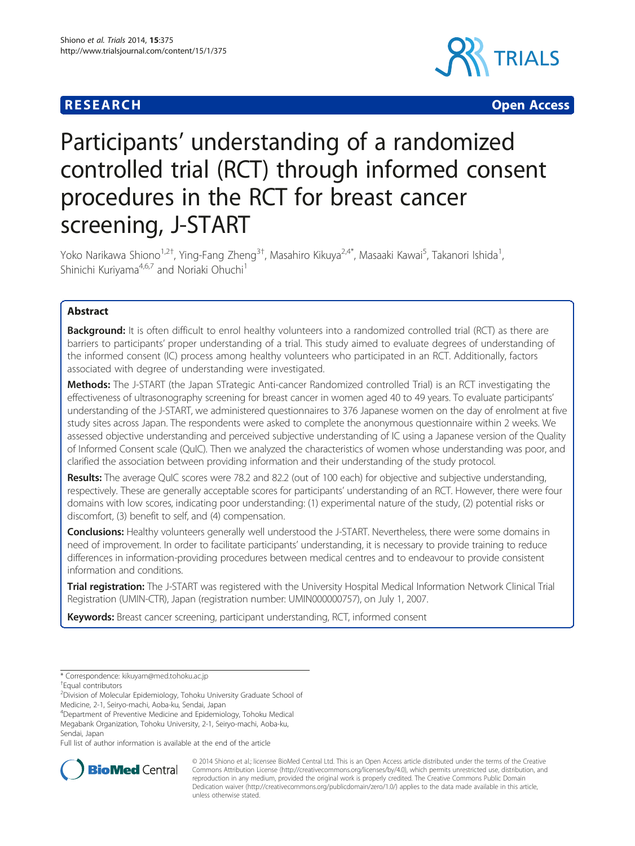# **RESEARCH CHE CHE Open Access**



# Participants' understanding of a randomized controlled trial (RCT) through informed consent procedures in the RCT for breast cancer screening, J-START

Yoko Narikawa Shiono<sup>1,2†</sup>, Ying-Fang Zheng<sup>3†</sup>, Masahiro Kikuya<sup>2,4\*</sup>, Masaaki Kawai<sup>5</sup>, Takanori Ishida<sup>1</sup> , Shinichi Kuriyama<sup>4,6,7</sup> and Noriaki Ohuchi<sup>1</sup>

# Abstract

Background: It is often difficult to enrol healthy volunteers into a randomized controlled trial (RCT) as there are barriers to participants' proper understanding of a trial. This study aimed to evaluate degrees of understanding of the informed consent (IC) process among healthy volunteers who participated in an RCT. Additionally, factors associated with degree of understanding were investigated.

Methods: The J-START (the Japan STrategic Anti-cancer Randomized controlled Trial) is an RCT investigating the effectiveness of ultrasonography screening for breast cancer in women aged 40 to 49 years. To evaluate participants' understanding of the J-START, we administered questionnaires to 376 Japanese women on the day of enrolment at five study sites across Japan. The respondents were asked to complete the anonymous questionnaire within 2 weeks. We assessed objective understanding and perceived subjective understanding of IC using a Japanese version of the Quality of Informed Consent scale (QuIC). Then we analyzed the characteristics of women whose understanding was poor, and clarified the association between providing information and their understanding of the study protocol.

Results: The average QuIC scores were 78.2 and 82.2 (out of 100 each) for objective and subjective understanding, respectively. These are generally acceptable scores for participants' understanding of an RCT. However, there were four domains with low scores, indicating poor understanding: (1) experimental nature of the study, (2) potential risks or discomfort, (3) benefit to self, and (4) compensation.

Conclusions: Healthy volunteers generally well understood the J-START. Nevertheless, there were some domains in need of improvement. In order to facilitate participants' understanding, it is necessary to provide training to reduce differences in information-providing procedures between medical centres and to endeavour to provide consistent information and conditions.

Trial registration: The J-START was registered with the University Hospital Medical Information Network Clinical Trial Registration (UMIN-CTR), Japan (registration number: [UMIN000000757\)](https://upload.umin.ac.jp/cgi-open-bin/ctr/ctr.cgi?function=brows&action=brows&type=summary&recptno=R000000910&language=E%E3%80%80), on July 1, 2007.

Keywords: Breast cancer screening, participant understanding, RCT, informed consent

<sup>2</sup>Division of Molecular Epidemiology, Tohoku University Graduate School of

Medicine, 2-1, Seiryo-machi, Aoba-ku, Sendai, Japan

4 Department of Preventive Medicine and Epidemiology, Tohoku Medical Megabank Organization, Tohoku University, 2-1, Seiryo-machi, Aoba-ku,

Full list of author information is available at the end of the article



© 2014 Shiono et al.; licensee BioMed Central Ltd. This is an Open Access article distributed under the terms of the Creative Commons Attribution License [\(http://creativecommons.org/licenses/by/4.0\)](http://creativecommons.org/licenses/by/4.0), which permits unrestricted use, distribution, and reproduction in any medium, provided the original work is properly credited. The Creative Commons Public Domain Dedication waiver [\(http://creativecommons.org/publicdomain/zero/1.0/](http://creativecommons.org/publicdomain/zero/1.0/)) applies to the data made available in this article, unless otherwise stated.

<sup>\*</sup> Correspondence: [kikuyam@med.tohoku.ac.jp](mailto:kikuyam@med.tohoku.ac.jp) †

Equal contributors

Sendai, Japan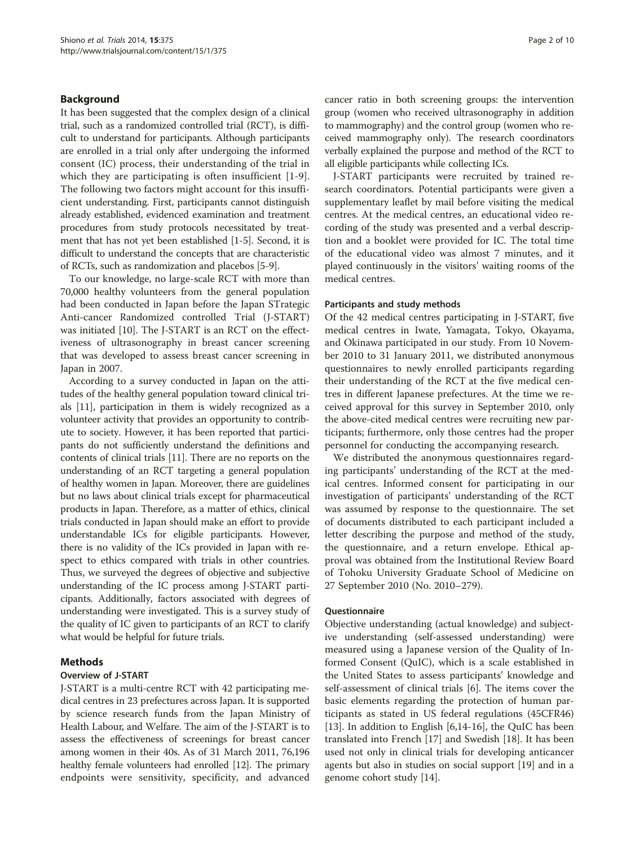# Background

It has been suggested that the complex design of a clinical trial, such as a randomized controlled trial (RCT), is difficult to understand for participants. Although participants are enrolled in a trial only after undergoing the informed consent (IC) process, their understanding of the trial in which they are participating is often insufficient [\[1-9](#page-8-0)]. The following two factors might account for this insufficient understanding. First, participants cannot distinguish already established, evidenced examination and treatment procedures from study protocols necessitated by treatment that has not yet been established [[1-5\]](#page-8-0). Second, it is difficult to understand the concepts that are characteristic of RCTs, such as randomization and placebos [\[5-9](#page-8-0)].

To our knowledge, no large-scale RCT with more than 70,000 healthy volunteers from the general population had been conducted in Japan before the Japan STrategic Anti-cancer Randomized controlled Trial (J-START) was initiated [\[10](#page-8-0)]. The J-START is an RCT on the effectiveness of ultrasonography in breast cancer screening that was developed to assess breast cancer screening in Japan in 2007.

According to a survey conducted in Japan on the attitudes of the healthy general population toward clinical trials [[11](#page-8-0)], participation in them is widely recognized as a volunteer activity that provides an opportunity to contribute to society. However, it has been reported that participants do not sufficiently understand the definitions and contents of clinical trials [[11](#page-8-0)]. There are no reports on the understanding of an RCT targeting a general population of healthy women in Japan. Moreover, there are guidelines but no laws about clinical trials except for pharmaceutical products in Japan. Therefore, as a matter of ethics, clinical trials conducted in Japan should make an effort to provide understandable ICs for eligible participants. However, there is no validity of the ICs provided in Japan with respect to ethics compared with trials in other countries. Thus, we surveyed the degrees of objective and subjective understanding of the IC process among J-START participants. Additionally, factors associated with degrees of understanding were investigated. This is a survey study of the quality of IC given to participants of an RCT to clarify what would be helpful for future trials.

# Methods

# Overview of J-START

J-START is a multi-centre RCT with 42 participating medical centres in 23 prefectures across Japan. It is supported by science research funds from the Japan Ministry of Health Labour, and Welfare. The aim of the J-START is to assess the effectiveness of screenings for breast cancer among women in their 40s. As of 31 March 2011, 76,196 healthy female volunteers had enrolled [\[12\]](#page-8-0). The primary endpoints were sensitivity, specificity, and advanced cancer ratio in both screening groups: the intervention group (women who received ultrasonography in addition to mammography) and the control group (women who received mammography only). The research coordinators verbally explained the purpose and method of the RCT to all eligible participants while collecting ICs.

J-START participants were recruited by trained research coordinators. Potential participants were given a supplementary leaflet by mail before visiting the medical centres. At the medical centres, an educational video recording of the study was presented and a verbal description and a booklet were provided for IC. The total time of the educational video was almost 7 minutes, and it played continuously in the visitors' waiting rooms of the medical centres.

#### Participants and study methods

Of the 42 medical centres participating in J-START, five medical centres in Iwate, Yamagata, Tokyo, Okayama, and Okinawa participated in our study. From 10 November 2010 to 31 January 2011, we distributed anonymous questionnaires to newly enrolled participants regarding their understanding of the RCT at the five medical centres in different Japanese prefectures. At the time we received approval for this survey in September 2010, only the above-cited medical centres were recruiting new participants; furthermore, only those centres had the proper personnel for conducting the accompanying research.

We distributed the anonymous questionnaires regarding participants' understanding of the RCT at the medical centres. Informed consent for participating in our investigation of participants' understanding of the RCT was assumed by response to the questionnaire. The set of documents distributed to each participant included a letter describing the purpose and method of the study, the questionnaire, and a return envelope. Ethical approval was obtained from the Institutional Review Board of Tohoku University Graduate School of Medicine on 27 September 2010 (No. 2010–279).

# Questionnaire

Objective understanding (actual knowledge) and subjective understanding (self-assessed understanding) were measured using a Japanese version of the Quality of Informed Consent (QuIC), which is a scale established in the United States to assess participants' knowledge and self-assessment of clinical trials [\[6](#page-8-0)]. The items cover the basic elements regarding the protection of human participants as stated in US federal regulations (45CFR46) [[13\]](#page-8-0). In addition to English [\[6,14](#page-8-0)[-16](#page-9-0)], the QuIC has been translated into French [[17\]](#page-9-0) and Swedish [\[18\]](#page-9-0). It has been used not only in clinical trials for developing anticancer agents but also in studies on social support [[19\]](#page-9-0) and in a genome cohort study [[14\]](#page-8-0).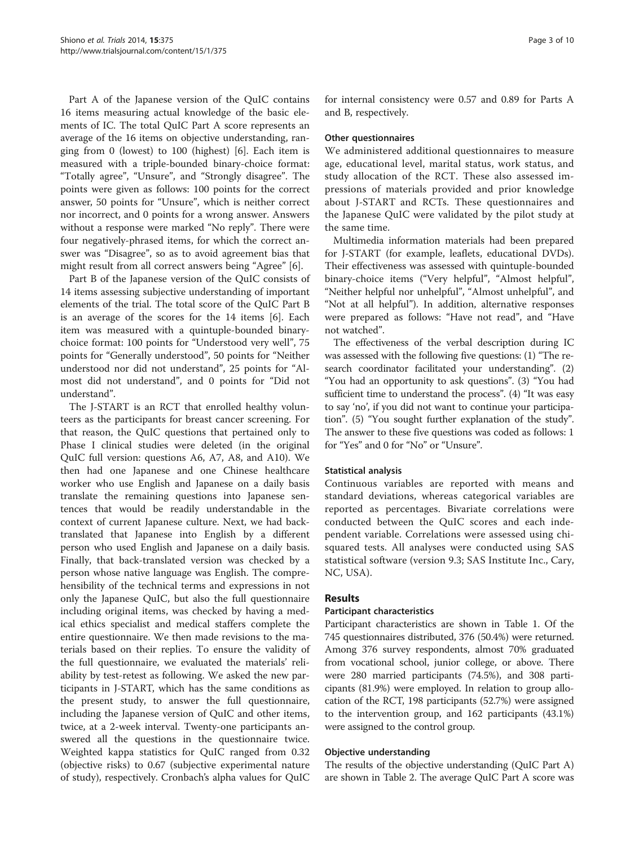Part A of the Japanese version of the QuIC contains 16 items measuring actual knowledge of the basic elements of IC. The total QuIC Part A score represents an average of the 16 items on objective understanding, ranging from 0 (lowest) to 100 (highest) [\[6\]](#page-8-0). Each item is measured with a triple-bounded binary-choice format: "Totally agree", "Unsure", and "Strongly disagree". The points were given as follows: 100 points for the correct answer, 50 points for "Unsure", which is neither correct nor incorrect, and 0 points for a wrong answer. Answers without a response were marked "No reply". There were four negatively-phrased items, for which the correct answer was "Disagree", so as to avoid agreement bias that might result from all correct answers being "Agree" [\[6](#page-8-0)].

Part B of the Japanese version of the QuIC consists of 14 items assessing subjective understanding of important elements of the trial. The total score of the QuIC Part B is an average of the scores for the 14 items [[6\]](#page-8-0). Each item was measured with a quintuple-bounded binarychoice format: 100 points for "Understood very well", 75 points for "Generally understood", 50 points for "Neither understood nor did not understand", 25 points for "Almost did not understand", and 0 points for "Did not understand".

The J-START is an RCT that enrolled healthy volunteers as the participants for breast cancer screening. For that reason, the QuIC questions that pertained only to Phase I clinical studies were deleted (in the original QuIC full version: questions A6, A7, A8, and A10). We then had one Japanese and one Chinese healthcare worker who use English and Japanese on a daily basis translate the remaining questions into Japanese sentences that would be readily understandable in the context of current Japanese culture. Next, we had backtranslated that Japanese into English by a different person who used English and Japanese on a daily basis. Finally, that back-translated version was checked by a person whose native language was English. The comprehensibility of the technical terms and expressions in not only the Japanese QuIC, but also the full questionnaire including original items, was checked by having a medical ethics specialist and medical staffers complete the entire questionnaire. We then made revisions to the materials based on their replies. To ensure the validity of the full questionnaire, we evaluated the materials' reliability by test-retest as following. We asked the new participants in J-START, which has the same conditions as the present study, to answer the full questionnaire, including the Japanese version of QuIC and other items, twice, at a 2-week interval. Twenty-one participants answered all the questions in the questionnaire twice. Weighted kappa statistics for QuIC ranged from 0.32 (objective risks) to 0.67 (subjective experimental nature of study), respectively. Cronbach's alpha values for QuIC for internal consistency were 0.57 and 0.89 for Parts A and B, respectively.

#### Other questionnaires

We administered additional questionnaires to measure age, educational level, marital status, work status, and study allocation of the RCT. These also assessed impressions of materials provided and prior knowledge about J-START and RCTs. These questionnaires and the Japanese QuIC were validated by the pilot study at the same time.

Multimedia information materials had been prepared for J-START (for example, leaflets, educational DVDs). Their effectiveness was assessed with quintuple-bounded binary-choice items ("Very helpful", "Almost helpful", "Neither helpful nor unhelpful", "Almost unhelpful", and "Not at all helpful"). In addition, alternative responses were prepared as follows: "Have not read", and "Have not watched".

The effectiveness of the verbal description during IC was assessed with the following five questions: (1) "The research coordinator facilitated your understanding". (2) "You had an opportunity to ask questions". (3) "You had sufficient time to understand the process". (4) "It was easy to say 'no', if you did not want to continue your participation". (5) "You sought further explanation of the study". The answer to these five questions was coded as follows: 1 for "Yes" and 0 for "No" or "Unsure".

# Statistical analysis

Continuous variables are reported with means and standard deviations, whereas categorical variables are reported as percentages. Bivariate correlations were conducted between the QuIC scores and each independent variable. Correlations were assessed using chisquared tests. All analyses were conducted using SAS statistical software (version 9.3; SAS Institute Inc., Cary, NC, USA).

# Results

# Participant characteristics

Participant characteristics are shown in Table [1](#page-3-0). Of the 745 questionnaires distributed, 376 (50.4%) were returned. Among 376 survey respondents, almost 70% graduated from vocational school, junior college, or above. There were 280 married participants (74.5%), and 308 participants (81.9%) were employed. In relation to group allocation of the RCT, 198 participants (52.7%) were assigned to the intervention group, and 162 participants (43.1%) were assigned to the control group.

# Objective understanding

The results of the objective understanding (QuIC Part A) are shown in Table [2.](#page-4-0) The average QuIC Part A score was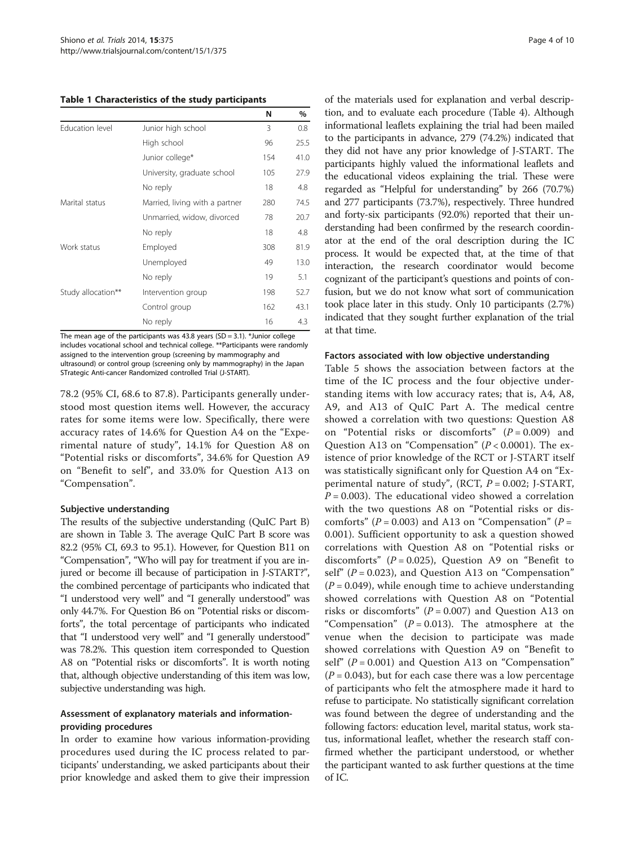#### <span id="page-3-0"></span>Table 1 Characteristics of the study participants

|                    |                             | N    | %    |
|--------------------|-----------------------------|------|------|
| Education level    | Junior high school          | 3    | 0.8  |
|                    | High school                 | 96   | 25.5 |
|                    | Junior college*             | 154  | 41.0 |
|                    | University, graduate school | 105  | 27.9 |
|                    | No reply                    | 18   | 4.8  |
| Marital status     | 280                         | 74.5 |      |
|                    | Unmarried, widow, divorced  | 78   | 20.7 |
|                    | No reply                    | 18   | 4.8  |
| Work status        | Employed                    | 308  | 81.9 |
|                    | Unemployed                  | 49   | 13.0 |
|                    | No reply                    | 19   | 5.1  |
| Study allocation** | Intervention group          | 198  | 52.7 |
|                    | Control group               | 162  | 43.1 |
|                    | No reply                    | 16   | 4.3  |

The mean age of the participants was  $43.8$  years  $(SD = 3.1)$ . \*Junior college includes vocational school and technical college. \*\*Participants were randomly assigned to the intervention group (screening by mammography and ultrasound) or control group (screening only by mammography) in the Japan STrategic Anti-cancer Randomized controlled Trial (J-START).

78.2 (95% CI, 68.6 to 87.8). Participants generally understood most question items well. However, the accuracy rates for some items were low. Specifically, there were accuracy rates of 14.6% for Question A4 on the "Experimental nature of study", 14.1% for Question A8 on "Potential risks or discomforts", 34.6% for Question A9 on "Benefit to self", and 33.0% for Question A13 on "Compensation".

#### Subjective understanding

The results of the subjective understanding (QuIC Part B) are shown in Table [3](#page-5-0). The average QuIC Part B score was 82.2 (95% CI, 69.3 to 95.1). However, for Question B11 on "Compensation", "Who will pay for treatment if you are injured or become ill because of participation in J-START?", the combined percentage of participants who indicated that "I understood very well" and "I generally understood" was only 44.7%. For Question B6 on "Potential risks or discomforts", the total percentage of participants who indicated that "I understood very well" and "I generally understood" was 78.2%. This question item corresponded to Question A8 on "Potential risks or discomforts". It is worth noting that, although objective understanding of this item was low, subjective understanding was high.

# Assessment of explanatory materials and informationproviding procedures

In order to examine how various information-providing procedures used during the IC process related to participants' understanding, we asked participants about their prior knowledge and asked them to give their impression

of the materials used for explanation and verbal description, and to evaluate each procedure (Table [4\)](#page-6-0). Although informational leaflets explaining the trial had been mailed to the participants in advance, 279 (74.2%) indicated that they did not have any prior knowledge of J-START. The participants highly valued the informational leaflets and the educational videos explaining the trial. These were regarded as "Helpful for understanding" by 266 (70.7%) and 277 participants (73.7%), respectively. Three hundred and forty-six participants (92.0%) reported that their understanding had been confirmed by the research coordinator at the end of the oral description during the IC process. It would be expected that, at the time of that interaction, the research coordinator would become cognizant of the participant's questions and points of confusion, but we do not know what sort of communication took place later in this study. Only 10 participants (2.7%) indicated that they sought further explanation of the trial at that time.

#### Factors associated with low objective understanding

Table [5](#page-7-0) shows the association between factors at the time of the IC process and the four objective understanding items with low accuracy rates; that is, A4, A8, A9, and A13 of QuIC Part A. The medical centre showed a correlation with two questions: Question A8 on "Potential risks or discomforts"  $(P = 0.009)$  and Question A13 on "Compensation"  $(P < 0.0001)$ . The existence of prior knowledge of the RCT or J-START itself was statistically significant only for Question A4 on "Experimental nature of study", (RCT,  $P = 0.002$ ; J-START,  $P = 0.003$ ). The educational video showed a correlation with the two questions A8 on "Potential risks or discomforts" ( $P = 0.003$ ) and A13 on "Compensation" ( $P =$ 0.001). Sufficient opportunity to ask a question showed correlations with Question A8 on "Potential risks or discomforts"  $(P = 0.025)$ , Question A9 on "Benefit to self" ( $P = 0.023$ ), and Question A13 on "Compensation"  $(P = 0.049)$ , while enough time to achieve understanding showed correlations with Question A8 on "Potential risks or discomforts" ( $P = 0.007$ ) and Question A13 on "Compensation" ( $P = 0.013$ ). The atmosphere at the venue when the decision to participate was made showed correlations with Question A9 on "Benefit to self"  $(P = 0.001)$  and Question A13 on "Compensation"  $(P = 0.043)$ , but for each case there was a low percentage of participants who felt the atmosphere made it hard to refuse to participate. No statistically significant correlation was found between the degree of understanding and the following factors: education level, marital status, work status, informational leaflet, whether the research staff confirmed whether the participant understood, or whether the participant wanted to ask further questions at the time of IC.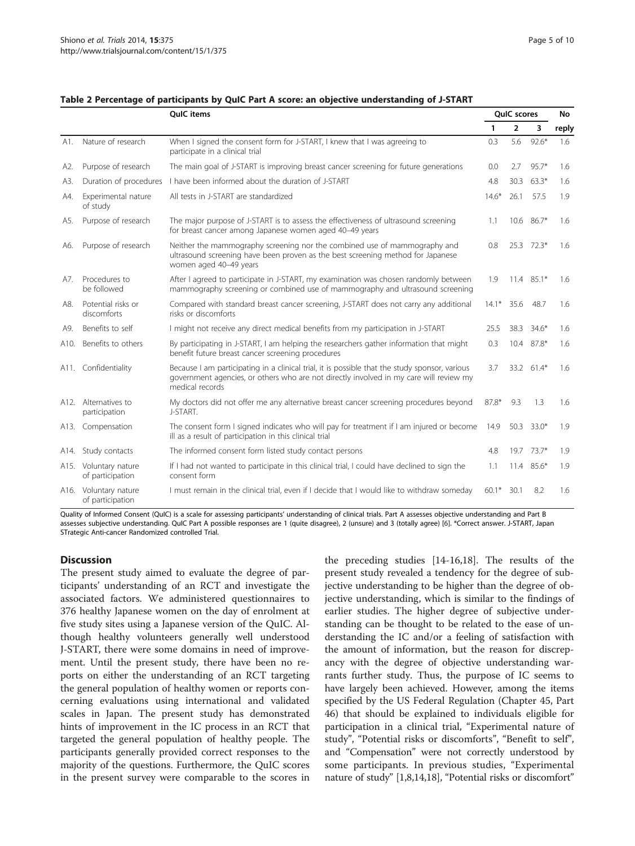|      |                                           |                                                                                                                                                                                                             | 1       | $\overline{2}$ | 3            | reply |
|------|-------------------------------------------|-------------------------------------------------------------------------------------------------------------------------------------------------------------------------------------------------------------|---------|----------------|--------------|-------|
| A1.  | Nature of research                        | When I signed the consent form for J-START, I knew that I was agreeing to<br>participate in a clinical trial                                                                                                | 0.3     | 5.6            | $92.6*$      | 1.6   |
| A2.  | Purpose of research                       | The main goal of J-START is improving breast cancer screening for future generations                                                                                                                        | 0.0     | 2.7            | $95.7*$      | 1.6   |
| A3.  | Duration of procedures                    | I have been informed about the duration of J-START                                                                                                                                                          | 4.8     | 30.3           | $63.3*$      | 1.6   |
| A4.  | Experimental nature<br>of study           | All tests in J-START are standardized                                                                                                                                                                       | $14.6*$ | 26.1           | 57.5         | 1.9   |
| A5.  | Purpose of research                       | The major purpose of J-START is to assess the effectiveness of ultrasound screening<br>for breast cancer among Japanese women aged 40-49 years                                                              | 1.1     |                | 10.6 86.7*   | 1.6   |
| A6.  | Purpose of research                       | Neither the mammography screening nor the combined use of mammography and<br>ultrasound screening have been proven as the best screening method for Japanese<br>women aged 40-49 years                      | 0.8     | 25.3           | $72.3*$      | 1.6   |
| A7.  | Procedures to<br>be followed              | After I agreed to participate in J-START, my examination was chosen randomly between<br>mammography screening or combined use of mammography and ultrasound screening                                       | 1.9     |                | $11.4$ 85.1* | 1.6   |
| A8.  | Potential risks or<br>discomforts         | Compared with standard breast cancer screening, J-START does not carry any additional<br>risks or discomforts                                                                                               | $14.1*$ | 35.6           | 48.7         | 1.6   |
| A9.  | Benefits to self                          | I might not receive any direct medical benefits from my participation in J-START                                                                                                                            | 25.5    | 38.3           | $34.6*$      | 1.6   |
| A10. | Benefits to others                        | By participating in J-START, I am helping the researchers gather information that might<br>benefit future breast cancer screening procedures                                                                | 0.3     | 10.4           | 87.8*        | 1.6   |
|      | A11. Confidentiality                      | Because I am participating in a clinical trial, it is possible that the study sponsor, various<br>government agencies, or others who are not directly involved in my care will review my<br>medical records | 3.7     |                | 33.2 61.4*   | 1.6   |
|      | A12. Alternatives to<br>participation     | My doctors did not offer me any alternative breast cancer screening procedures beyond<br>J-START.                                                                                                           | 87.8*   | 9.3            | 1.3          | 1.6   |
|      | A13. Compensation                         | The consent form I signed indicates who will pay for treatment if I am injured or become<br>ill as a result of participation in this clinical trial                                                         | 14.9    | 50.3           | $33.0*$      | 1.9   |
|      | A14. Study contacts                       | The informed consent form listed study contact persons                                                                                                                                                      | 4.8     | 19.7           | 73.7*        | 1.9   |
|      | A15. Voluntary nature<br>of participation | If I had not wanted to participate in this clinical trial, I could have declined to sign the<br>consent form                                                                                                | 1.1     |                | 11.4 85.6*   | 1.9   |
|      | A16. Voluntary nature<br>of participation | I must remain in the clinical trial, even if I decide that I would like to withdraw someday                                                                                                                 | $60.1*$ | 30.1           | 8.2          | 1.6   |

#### <span id="page-4-0"></span>Table 2 Percentage of participants by QuIC Part A score: an objective understanding of J-START

Quality of Informed Consent (QuIC) is a scale for assessing participants' understanding of clinical trials. Part A assesses objective understanding and Part B assesses subjective understanding. QuIC Part A possible responses are 1 (quite disagree), 2 (unsure) and 3 (totally agree) [[6](#page-8-0)]. \*Correct answer. J-START, Japan STrategic Anti-cancer Randomized controlled Trial.

# **Discussion**

The present study aimed to evaluate the degree of participants' understanding of an RCT and investigate the associated factors. We administered questionnaires to 376 healthy Japanese women on the day of enrolment at five study sites using a Japanese version of the QuIC. Although healthy volunteers generally well understood J-START, there were some domains in need of improvement. Until the present study, there have been no reports on either the understanding of an RCT targeting the general population of healthy women or reports concerning evaluations using international and validated scales in Japan. The present study has demonstrated hints of improvement in the IC process in an RCT that targeted the general population of healthy people. The participants generally provided correct responses to the majority of the questions. Furthermore, the QuIC scores in the present survey were comparable to the scores in

the preceding studies [\[14](#page-8-0)-[16,18\]](#page-9-0). The results of the present study revealed a tendency for the degree of subjective understanding to be higher than the degree of objective understanding, which is similar to the findings of earlier studies. The higher degree of subjective understanding can be thought to be related to the ease of understanding the IC and/or a feeling of satisfaction with the amount of information, but the reason for discrepancy with the degree of objective understanding warrants further study. Thus, the purpose of IC seems to have largely been achieved. However, among the items specified by the US Federal Regulation (Chapter 45, Part 46) that should be explained to individuals eligible for participation in a clinical trial, "Experimental nature of study", "Potential risks or discomforts", "Benefit to self", and "Compensation" were not correctly understood by some participants. In previous studies, "Experimental nature of study" [[1,8,14](#page-8-0)[,18\]](#page-9-0), "Potential risks or discomfort"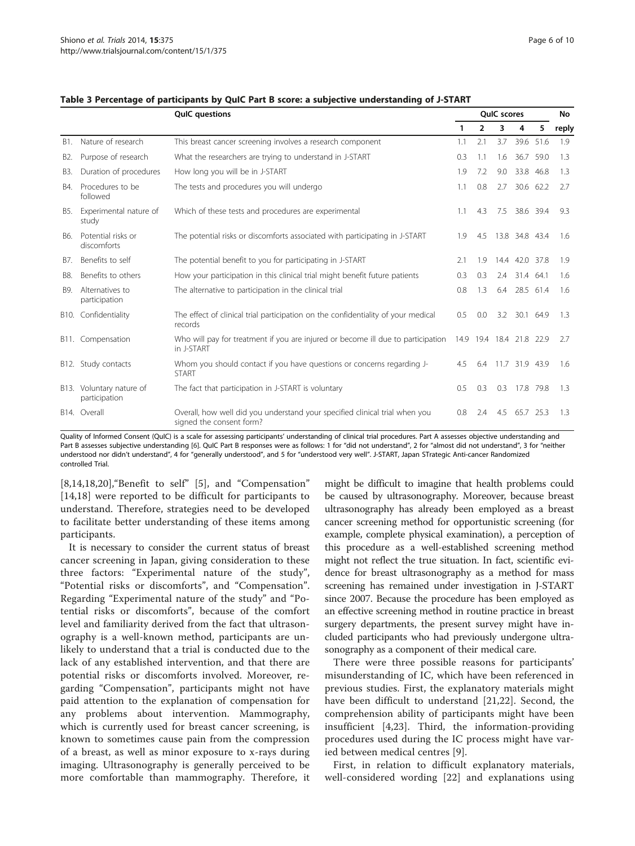|            |                                           | <b>QulC</b> questions                                                                                   |              | No  |     |                     |           |       |
|------------|-------------------------------------------|---------------------------------------------------------------------------------------------------------|--------------|-----|-----|---------------------|-----------|-------|
|            |                                           |                                                                                                         | $\mathbf{1}$ | 2   | 3   | 4                   | 5         | reply |
| B1.        | Nature of research                        | This breast cancer screening involves a research component                                              | 1.1          | 2.1 | 3.7 |                     | 39.6 51.6 | 1.9   |
| B2.        | Purpose of research                       | What the researchers are trying to understand in J-START                                                | 0.3          | 1.1 | 1.6 | 36.7                | 59.0      | 1.3   |
| B3.        | Duration of procedures                    | How long you will be in J-START                                                                         | 1.9          | 7.2 | 9.0 | 33.8 46.8           |           | 1.3   |
| B4.        | Procedures to be<br>followed              | The tests and procedures you will undergo                                                               | 1.1          | 0.8 | 2.7 | 30.6 62.2           |           | 2.7   |
| B5.        | Experimental nature of<br>study           | Which of these tests and procedures are experimental                                                    | 1.1          | 4.3 | 7.5 |                     | 38.6 39.4 | 9.3   |
| B6.        | Potential risks or<br>discomforts         | The potential risks or discomforts associated with participating in J-START                             | 1.9          | 4.5 |     | 13.8 34.8 43.4      |           | 1.6   |
| B7.        | Benefits to self                          | The potential benefit to you for participating in J-START                                               | 2.1          | 1.9 |     | 14.4 42.0 37.8      |           | 1.9   |
| <b>B8.</b> | Benefits to others                        | How your participation in this clinical trial might benefit future patients                             | 0.3          | 0.3 |     | 2.4 31.4 64.1       |           | 1.6   |
| B9.        | Alternatives to<br>participation          | The alternative to participation in the clinical trial                                                  | 0.8          | 1.3 | 6.4 | 28.5 61.4           |           | 1.6   |
|            | B10. Confidentiality                      | The effect of clinical trial participation on the confidentiality of your medical<br>records            | 0.5          | 0.0 | 3.2 | 30.1 64.9           |           | 1.3   |
|            | B11. Compensation                         | Who will pay for treatment if you are injured or become ill due to participation<br>in J-START          | 14.9         |     |     | 19.4 18.4 21.8 22.9 |           | 2.7   |
|            | B12. Study contacts                       | Whom you should contact if you have questions or concerns regarding J-<br><b>START</b>                  | 4.5          | 6.4 |     | 11.7 31.9 43.9      |           | 1.6   |
|            | B13. Voluntary nature of<br>participation | The fact that participation in J-START is voluntary                                                     | 0.5          | 0.3 | 0.3 | 17.8 79.8           |           | 1.3   |
|            | B <sub>14</sub> . Overall                 | Overall, how well did you understand your specified clinical trial when you<br>signed the consent form? | 0.8          | 7.4 | 4.5 | 65.7 25.3           |           | 1.3   |

#### <span id="page-5-0"></span>Table 3 Percentage of participants by QuIC Part B score: a subjective understanding of J-START

Quality of Informed Consent (QuIC) is a scale for assessing participants' understanding of clinical trial procedures. Part A assesses objective understanding and Part B assesses subjective understanding [\[6\]](#page-8-0). QuIC Part B responses were as follows: 1 for "did not understand", 2 for "almost did not understand", 3 for "neither understood nor didn't understand", 4 for "generally understood", and 5 for "understood very well". J-START, Japan STrategic Anti-cancer Randomized controlled Trial.

[[8,14](#page-8-0)[,18,20\]](#page-9-0),"Benefit to self" [[5](#page-8-0)], and "Compensation" [[14](#page-8-0)[,18](#page-9-0)] were reported to be difficult for participants to understand. Therefore, strategies need to be developed to facilitate better understanding of these items among participants.

It is necessary to consider the current status of breast cancer screening in Japan, giving consideration to these three factors: "Experimental nature of the study", "Potential risks or discomforts", and "Compensation". Regarding "Experimental nature of the study" and "Potential risks or discomforts", because of the comfort level and familiarity derived from the fact that ultrasonography is a well-known method, participants are unlikely to understand that a trial is conducted due to the lack of any established intervention, and that there are potential risks or discomforts involved. Moreover, regarding "Compensation", participants might not have paid attention to the explanation of compensation for any problems about intervention. Mammography, which is currently used for breast cancer screening, is known to sometimes cause pain from the compression of a breast, as well as minor exposure to x-rays during imaging. Ultrasonography is generally perceived to be more comfortable than mammography. Therefore, it might be difficult to imagine that health problems could be caused by ultrasonography. Moreover, because breast ultrasonography has already been employed as a breast cancer screening method for opportunistic screening (for example, complete physical examination), a perception of this procedure as a well-established screening method might not reflect the true situation. In fact, scientific evidence for breast ultrasonography as a method for mass screening has remained under investigation in J-START since 2007. Because the procedure has been employed as an effective screening method in routine practice in breast surgery departments, the present survey might have included participants who had previously undergone ultrasonography as a component of their medical care.

There were three possible reasons for participants' misunderstanding of IC, which have been referenced in previous studies. First, the explanatory materials might have been difficult to understand [\[21](#page-9-0),[22\]](#page-9-0). Second, the comprehension ability of participants might have been insufficient [[4,](#page-8-0)[23](#page-9-0)]. Third, the information-providing procedures used during the IC process might have varied between medical centres [[9\]](#page-8-0).

First, in relation to difficult explanatory materials, well-considered wording [[22](#page-9-0)] and explanations using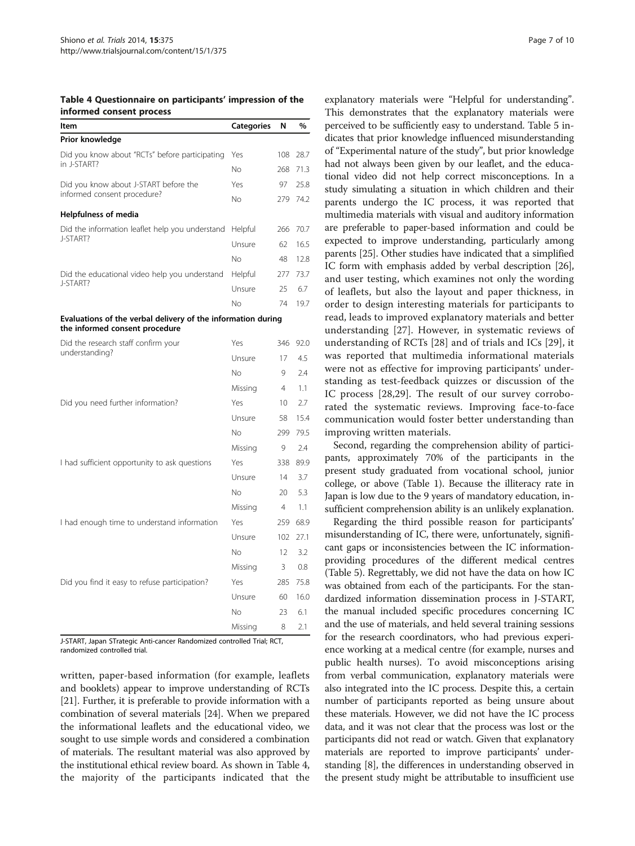<span id="page-6-0"></span>Table 4 Questionnaire on participants' impression of the informed consent process

| ltem                                            | <b>Categories</b> | N   | $\%$     |
|-------------------------------------------------|-------------------|-----|----------|
| Prior knowledge                                 |                   |     |          |
| Did you know about "RCTs" before participating  | Yes               |     | 108 28.7 |
| in J-START?                                     | Nο                | 268 | 71.3     |
| Did you know about J-START before the           | Yes               | 97  | 25.8     |
| informed consent procedure?                     | No.               | 279 | 74.2     |
| <b>Helpfulness of media</b>                     |                   |     |          |
| Did the information leaflet help you understand | Helpful           | 266 | 70.7     |
| J-START?                                        | Unsure            | 62  | 16.5     |
|                                                 | No.               | 48  | 12.8     |
| Did the educational video help you understand   | Helpful           | 277 | 73.7     |
| J-START?                                        | Unsure            | 25  | 6.7      |
|                                                 | Nο                | 74  | 19.7     |
|                                                 |                   |     |          |

#### Evaluations of the verbal delivery of the information during the informed consent procedure

| Did the research staff confirm your           | Yes       | 346            | 92.0 |
|-----------------------------------------------|-----------|----------------|------|
| understanding?                                | Unsure    | 17             | 4.5  |
|                                               | <b>No</b> | 9              | 2.4  |
|                                               | Missing   | $\overline{4}$ | 1.1  |
| Did you need further information?             | Yes       | 10             | 2.7  |
|                                               | Unsure    | 58             | 15.4 |
|                                               | <b>No</b> | 299            | 79.5 |
|                                               | Missing   | 9              | 2.4  |
| I had sufficient opportunity to ask questions | Yes       | 338            | 89.9 |
|                                               | Unsure    | 14             | 3.7  |
|                                               | <b>No</b> | 20             | 5.3  |
|                                               | Missing   | $\overline{4}$ | 1.1  |
| I had enough time to understand information   | Yes       | 259            | 68.9 |
|                                               | Unsure    | 102            | 27.1 |
|                                               | <b>No</b> | 12             | 3.2  |
|                                               | Missing   | 3              | 0.8  |
| Did you find it easy to refuse participation? | Yes       | 285            | 75.8 |
|                                               | Unsure    | 60             | 16.0 |
|                                               | <b>No</b> | 23             | 6.1  |
|                                               | Missing   | 8              | 2.1  |

J-START, Japan STrategic Anti-cancer Randomized controlled Trial; RCT, randomized controlled trial.

written, paper-based information (for example, leaflets and booklets) appear to improve understanding of RCTs [[21](#page-9-0)]. Further, it is preferable to provide information with a combination of several materials [[24](#page-9-0)]. When we prepared the informational leaflets and the educational video, we sought to use simple words and considered a combination of materials. The resultant material was also approved by the institutional ethical review board. As shown in Table 4, the majority of the participants indicated that the

explanatory materials were "Helpful for understanding". This demonstrates that the explanatory materials were perceived to be sufficiently easy to understand. Table [5](#page-7-0) indicates that prior knowledge influenced misunderstanding of "Experimental nature of the study", but prior knowledge had not always been given by our leaflet, and the educational video did not help correct misconceptions. In a study simulating a situation in which children and their parents undergo the IC process, it was reported that multimedia materials with visual and auditory information are preferable to paper-based information and could be expected to improve understanding, particularly among parents [\[25\]](#page-9-0). Other studies have indicated that a simplified IC form with emphasis added by verbal description [[26](#page-9-0)], and user testing, which examines not only the wording of leaflets, but also the layout and paper thickness, in order to design interesting materials for participants to read, leads to improved explanatory materials and better understanding [\[27](#page-9-0)]. However, in systematic reviews of understanding of RCTs [\[28](#page-9-0)] and of trials and ICs [\[29](#page-9-0)], it was reported that multimedia informational materials were not as effective for improving participants' understanding as test-feedback quizzes or discussion of the IC process [[28,29](#page-9-0)]. The result of our survey corroborated the systematic reviews. Improving face-to-face communication would foster better understanding than improving written materials.

Second, regarding the comprehension ability of participants, approximately 70% of the participants in the present study graduated from vocational school, junior college, or above (Table [1\)](#page-3-0). Because the illiteracy rate in Japan is low due to the 9 years of mandatory education, insufficient comprehension ability is an unlikely explanation.

Regarding the third possible reason for participants' misunderstanding of IC, there were, unfortunately, significant gaps or inconsistencies between the IC informationproviding procedures of the different medical centres (Table [5](#page-7-0)). Regrettably, we did not have the data on how IC was obtained from each of the participants. For the standardized information dissemination process in J-START, the manual included specific procedures concerning IC and the use of materials, and held several training sessions for the research coordinators, who had previous experience working at a medical centre (for example, nurses and public health nurses). To avoid misconceptions arising from verbal communication, explanatory materials were also integrated into the IC process. Despite this, a certain number of participants reported as being unsure about these materials. However, we did not have the IC process data, and it was not clear that the process was lost or the participants did not read or watch. Given that explanatory materials are reported to improve participants' understanding [\[8\]](#page-8-0), the differences in understanding observed in the present study might be attributable to insufficient use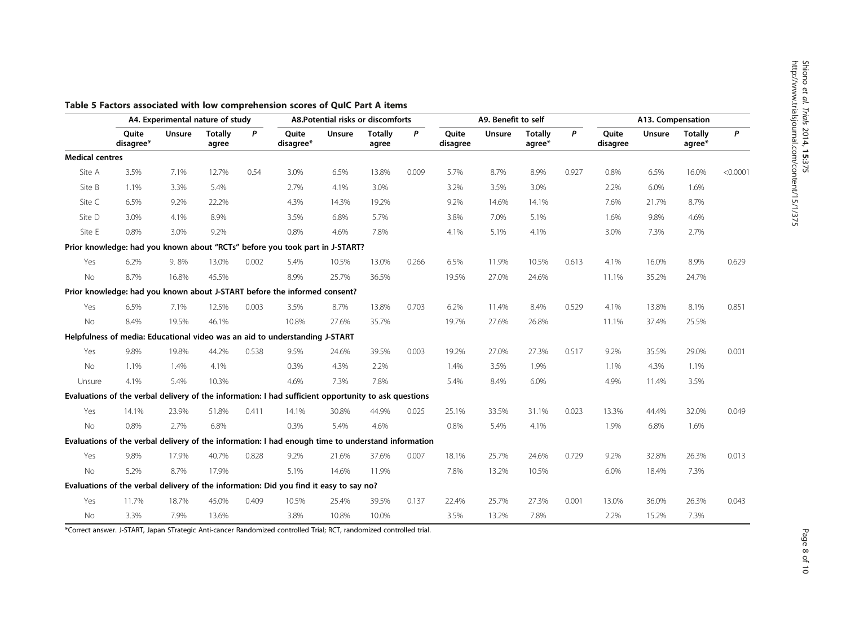|                        |                                                                                                      | A4. Experimental nature of study<br>A8. Potential risks or discomforts |                         |       |                    |               |                         | A9. Benefit to self |                          |        | A13. Compensation        |       |                   |               |                          |          |
|------------------------|------------------------------------------------------------------------------------------------------|------------------------------------------------------------------------|-------------------------|-------|--------------------|---------------|-------------------------|---------------------|--------------------------|--------|--------------------------|-------|-------------------|---------------|--------------------------|----------|
|                        | Ouite<br>disagree*                                                                                   | Unsure                                                                 | <b>Totally</b><br>agree | P     | Ouite<br>disagree* | <b>Unsure</b> | <b>Totally</b><br>agree | P                   | <b>Ouite</b><br>disagree | Unsure | <b>Totally</b><br>agree* | P     | Ouite<br>disagree | <b>Unsure</b> | <b>Totally</b><br>agree* | P        |
| <b>Medical centres</b> |                                                                                                      |                                                                        |                         |       |                    |               |                         |                     |                          |        |                          |       |                   |               |                          |          |
| Site A                 | 3.5%                                                                                                 | 7.1%                                                                   | 12.7%                   | 0.54  | 3.0%               | 6.5%          | 13.8%                   | 0.009               | 5.7%                     | 8.7%   | 8.9%                     | 0.927 | 0.8%              | 6.5%          | 16.0%                    | < 0.0001 |
| Site B                 | 1.1%                                                                                                 | 3.3%                                                                   | 5.4%                    |       | 2.7%               | 4.1%          | 3.0%                    |                     | 3.2%                     | 3.5%   | 3.0%                     |       | 2.2%              | 6.0%          | 1.6%                     |          |
| Site C                 | 6.5%                                                                                                 | 9.2%                                                                   | 22.2%                   |       | 4.3%               | 14.3%         | 19.2%                   |                     | 9.2%                     | 14.6%  | 14.1%                    |       | 7.6%              | 21.7%         | 8.7%                     |          |
| Site D                 | 3.0%                                                                                                 | 4.1%                                                                   | 8.9%                    |       | 3.5%               | 6.8%          | 5.7%                    |                     | 3.8%                     | 7.0%   | 5.1%                     |       | 1.6%              | 9.8%          | 4.6%                     |          |
| Site E                 | 0.8%                                                                                                 | 3.0%                                                                   | 9.2%                    |       | 0.8%               | 4.6%          | 7.8%                    |                     | 4.1%                     | 5.1%   | 4.1%                     |       | 3.0%              | 7.3%          | 2.7%                     |          |
|                        | Prior knowledge: had you known about "RCTs" before you took part in J-START?                         |                                                                        |                         |       |                    |               |                         |                     |                          |        |                          |       |                   |               |                          |          |
| Yes                    | 6.2%                                                                                                 | 9.8%                                                                   | 13.0%                   | 0.002 | 5.4%               | 10.5%         | 13.0%                   | 0.266               | 6.5%                     | 11.9%  | 10.5%                    | 0.613 | 4.1%              | 16.0%         | 8.9%                     | 0.629    |
| No                     | 8.7%                                                                                                 | 16.8%                                                                  | 45.5%                   |       | 8.9%               | 25.7%         | 36.5%                   |                     | 19.5%                    | 27.0%  | 24.6%                    |       | 11.1%             | 35.2%         | 24.7%                    |          |
|                        | Prior knowledge: had you known about J-START before the informed consent?                            |                                                                        |                         |       |                    |               |                         |                     |                          |        |                          |       |                   |               |                          |          |
| Yes                    | 6.5%                                                                                                 | 7.1%                                                                   | 12.5%                   | 0.003 | 3.5%               | 8.7%          | 13.8%                   | 0.703               | 6.2%                     | 11.4%  | 8.4%                     | 0.529 | 4.1%              | 13.8%         | 8.1%                     | 0.851    |
| No                     | 8.4%                                                                                                 | 19.5%                                                                  | 46.1%                   |       | 10.8%              | 27.6%         | 35.7%                   |                     | 19.7%                    | 27.6%  | 26.8%                    |       | 11.1%             | 37.4%         | 25.5%                    |          |
|                        | Helpfulness of media: Educational video was an aid to understanding J-START                          |                                                                        |                         |       |                    |               |                         |                     |                          |        |                          |       |                   |               |                          |          |
| Yes                    | 9.8%                                                                                                 | 19.8%                                                                  | 44.2%                   | 0.538 | 9.5%               | 24.6%         | 39.5%                   | 0.003               | 19.2%                    | 27.0%  | 27.3%                    | 0.517 | 9.2%              | 35.5%         | 29.0%                    | 0.001    |
| No                     | 1.1%                                                                                                 | 1.4%                                                                   | 4.1%                    |       | 0.3%               | 4.3%          | 2.2%                    |                     | 1.4%                     | 3.5%   | 1.9%                     |       | 1.1%              | 4.3%          | 1.1%                     |          |
| Unsure                 | 4.1%                                                                                                 | 5.4%                                                                   | 10.3%                   |       | 4.6%               | 7.3%          | 7.8%                    |                     | 5.4%                     | 8.4%   | 6.0%                     |       | 4.9%              | 11.4%         | 3.5%                     |          |
|                        | Evaluations of the verbal delivery of the information: I had sufficient opportunity to ask questions |                                                                        |                         |       |                    |               |                         |                     |                          |        |                          |       |                   |               |                          |          |
| Yes                    | 14.1%                                                                                                | 23.9%                                                                  | 51.8%                   | 0.411 | 14.1%              | 30.8%         | 44.9%                   | 0.025               | 25.1%                    | 33.5%  | 31.1%                    | 0.023 | 13.3%             | 44.4%         | 32.0%                    | 0.049    |
| <b>No</b>              | 0.8%                                                                                                 | 2.7%                                                                   | 6.8%                    |       | 0.3%               | 5.4%          | 4.6%                    |                     | 0.8%                     | 5.4%   | 4.1%                     |       | 1.9%              | 6.8%          | 1.6%                     |          |
|                        | Evaluations of the verbal delivery of the information: I had enough time to understand information   |                                                                        |                         |       |                    |               |                         |                     |                          |        |                          |       |                   |               |                          |          |
| Yes                    | 9.8%                                                                                                 | 17.9%                                                                  | 40.7%                   | 0.828 | 9.2%               | 21.6%         | 37.6%                   | 0.007               | 18.1%                    | 25.7%  | 24.6%                    | 0.729 | 9.2%              | 32.8%         | 26.3%                    | 0.013    |
| <b>No</b>              | 5.2%                                                                                                 | 8.7%                                                                   | 17.9%                   |       | 5.1%               | 14.6%         | 11.9%                   |                     | 7.8%                     | 13.2%  | 10.5%                    |       | 6.0%              | 18.4%         | 7.3%                     |          |
|                        | Evaluations of the verbal delivery of the information: Did you find it easy to say no?               |                                                                        |                         |       |                    |               |                         |                     |                          |        |                          |       |                   |               |                          |          |
| Yes                    | 11.7%                                                                                                | 18.7%                                                                  | 45.0%                   | 0.409 | 10.5%              | 25.4%         | 39.5%                   | 0.137               | 22.4%                    | 25.7%  | 27.3%                    | 0.001 | 13.0%             | 36.0%         | 26.3%                    | 0.043    |
| No                     | 3.3%                                                                                                 | 7.9%                                                                   | 13.6%                   |       | 3.8%               | 10.8%         | 10.0%                   |                     | 3.5%                     | 13.2%  | 7.8%                     |       | 2.2%              | 15.2%         | 7.3%                     |          |

<span id="page-7-0"></span>

\*Correct answer. J-START, Japan STrategic Anti-cancer Randomized controlled Trial; RCT, randomized controlled trial.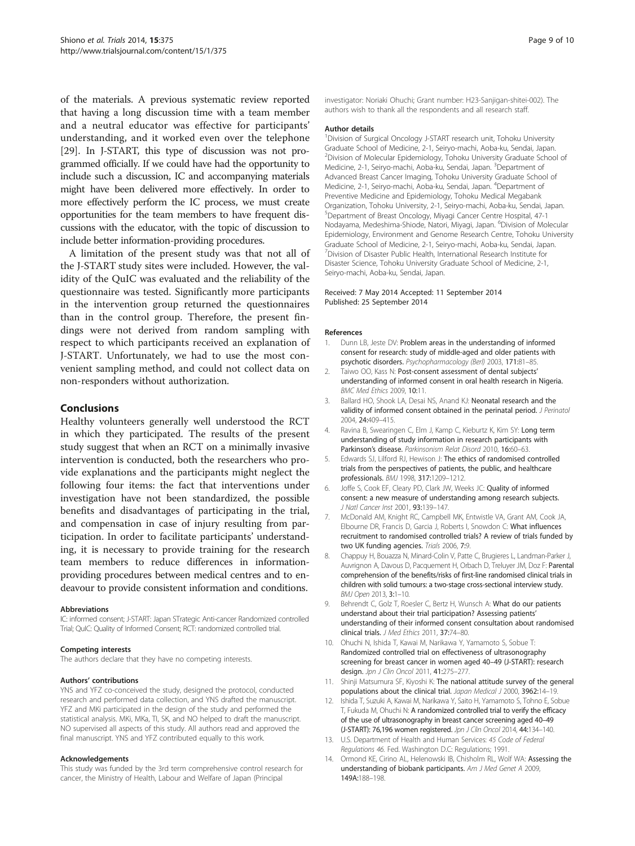<span id="page-8-0"></span>of the materials. A previous systematic review reported that having a long discussion time with a team member and a neutral educator was effective for participants' understanding, and it worked even over the telephone [[29\]](#page-9-0). In J-START, this type of discussion was not programmed officially. If we could have had the opportunity to include such a discussion, IC and accompanying materials might have been delivered more effectively. In order to more effectively perform the IC process, we must create opportunities for the team members to have frequent discussions with the educator, with the topic of discussion to include better information-providing procedures.

A limitation of the present study was that not all of the J-START study sites were included. However, the validity of the QuIC was evaluated and the reliability of the questionnaire was tested. Significantly more participants in the intervention group returned the questionnaires than in the control group. Therefore, the present findings were not derived from random sampling with respect to which participants received an explanation of J-START. Unfortunately, we had to use the most convenient sampling method, and could not collect data on non-responders without authorization.

# Conclusions

Healthy volunteers generally well understood the RCT in which they participated. The results of the present study suggest that when an RCT on a minimally invasive intervention is conducted, both the researchers who provide explanations and the participants might neglect the following four items: the fact that interventions under investigation have not been standardized, the possible benefits and disadvantages of participating in the trial, and compensation in case of injury resulting from participation. In order to facilitate participants' understanding, it is necessary to provide training for the research team members to reduce differences in informationproviding procedures between medical centres and to endeavour to provide consistent information and conditions.

#### Abbreviations

IC: informed consent; J-START: Japan STrategic Anti-cancer Randomized controlled Trial; QuIC: Quality of Informed Consent; RCT: randomized controlled trial.

#### Competing interests

The authors declare that they have no competing interests.

#### Authors' contributions

YNS and YFZ co-conceived the study, designed the protocol, conducted research and performed data collection, and YNS drafted the manuscript. YFZ and MKi participated in the design of the study and performed the statistical analysis. MKi, MKa, TI, SK, and NO helped to draft the manuscript. NO supervised all aspects of this study. All authors read and approved the final manuscript. YNS and YFZ contributed equally to this work.

#### Acknowledgements

This study was funded by the 3rd term comprehensive control research for cancer, the Ministry of Health, Labour and Welfare of Japan (Principal

investigator: Noriaki Ohuchi; Grant number: H23-Sanjigan-shitei-002). The authors wish to thank all the respondents and all research staff.

#### Author details

<sup>1</sup> Division of Surgical Oncology J-START research unit, Tohoku University Graduate School of Medicine, 2-1, Seiryo-machi, Aoba-ku, Sendai, Japan. <sup>2</sup> Division of Molecular Epidemiology, Tohoku University Graduate School of Medicine, 2-1, Seiryo-machi, Aoba-ku, Sendai, Japan. <sup>3</sup>Department of Advanced Breast Cancer Imaging, Tohoku University Graduate School of Medicine, 2-1, Seiryo-machi, Aoba-ku, Sendai, Japan. <sup>4</sup>Department of Preventive Medicine and Epidemiology, Tohoku Medical Megabank Organization, Tohoku University, 2-1, Seiryo-machi, Aoba-ku, Sendai, Japan. 5 Department of Breast Oncology, Miyagi Cancer Centre Hospital, 47-1 Nodayama, Medeshima-Shiode, Natori, Miyagi, Japan. <sup>6</sup>Division of Molecular Epidemiology, Environment and Genome Research Centre, Tohoku University Graduate School of Medicine, 2-1, Seiryo-machi, Aoba-ku, Sendai, Japan. 7 Division of Disaster Public Health, International Research Institute for Disaster Science, Tohoku University Graduate School of Medicine, 2-1, Seiryo-machi, Aoba-ku, Sendai, Japan.

#### Received: 7 May 2014 Accepted: 11 September 2014 Published: 25 September 2014

#### References

- 1. Dunn LB, Jeste DV: Problem areas in the understanding of informed consent for research: study of middle-aged and older patients with psychotic disorders. Psychopharmacology (Berl) 2003, 171:81–85.
- 2. Taiwo OO, Kass N: Post-consent assessment of dental subjects' understanding of informed consent in oral health research in Nigeria. BMC Med Ethics 2009, 10:11.
- 3. Ballard HO, Shook LA, Desai NS, Anand KJ: Neonatal research and the validity of informed consent obtained in the perinatal period. J Perinatol 2004, 24:409–415.
- 4. Ravina B, Swearingen C, Elm J, Kamp C, Kieburtz K, Kim SY: Long term understanding of study information in research participants with Parkinson's disease. Parkinsonism Relat Disord 2010, 16:60–63.
- 5. Edwards SJ, Lilford RJ, Hewison J: The ethics of randomised controlled trials from the perspectives of patients, the public, and healthcare professionals. BMJ 1998, 317:1209–1212.
- Joffe S, Cook EF, Cleary PD, Clark JW, Weeks JC: Quality of informed consent: a new measure of understanding among research subjects. J Natl Cancer Inst 2001, 93:139-147.
- 7. McDonald AM, Knight RC, Campbell MK, Entwistle VA, Grant AM, Cook JA, Elbourne DR, Francis D, Garcia J, Roberts I, Snowdon C: What influences recruitment to randomised controlled trials? A review of trials funded by two UK funding agencies. Trials 2006, 7:9.
- 8. Chappuy H, Bouazza N, Minard-Colin V, Patte C, Brugieres L, Landman-Parker J, Auvrignon A, Davous D, Pacquement H, Orbach D, Treluyer JM, Doz F: Parental comprehension of the benefits/risks of first-line randomised clinical trials in children with solid tumours: a two-stage cross-sectional interview study. BMJ Open 2013, 3:1–10.
- 9. Behrendt C, Golz T, Roesler C, Bertz H, Wunsch A: What do our patients understand about their trial participation? Assessing patients' understanding of their informed consent consultation about randomised clinical trials. J Med Ethics 2011, 37:74–80.
- 10. Ohuchi N, Ishida T, Kawai M, Narikawa Y, Yamamoto S, Sobue T: Randomized controlled trial on effectiveness of ultrasonography screening for breast cancer in women aged 40–49 (J-START): research design. Jpn J Clin Oncol 2011, 41:275–277.
- 11. Shinji Matsumura SF, Kiyoshi K: The national attitude survey of the general populations about the clinical trial. Japan Medical J 2000, 3962:14-19.
- 12. Ishida T, Suzuki A, Kawai M, Narikawa Y, Saito H, Yamamoto S, Tohno E, Sobue T, Fukuda M, Ohuchi N: A randomized controlled trial to verify the efficacy of the use of ultrasonography in breast cancer screening aged 40–49 (J-START): 76,196 women registered. Jpn J Clin Oncol 2014, 44:134–140.
- 13. U.S. Department of Health and Human Services: 45 Code of Federal Regulations 46. Fed. Washington D.C: Regulations; 1991.
- 14. Ormond KE, Cirino AL, Helenowski IB, Chisholm RL, Wolf WA: Assessing the understanding of biobank participants. Am J Med Genet A 2009, 149A:188–198.